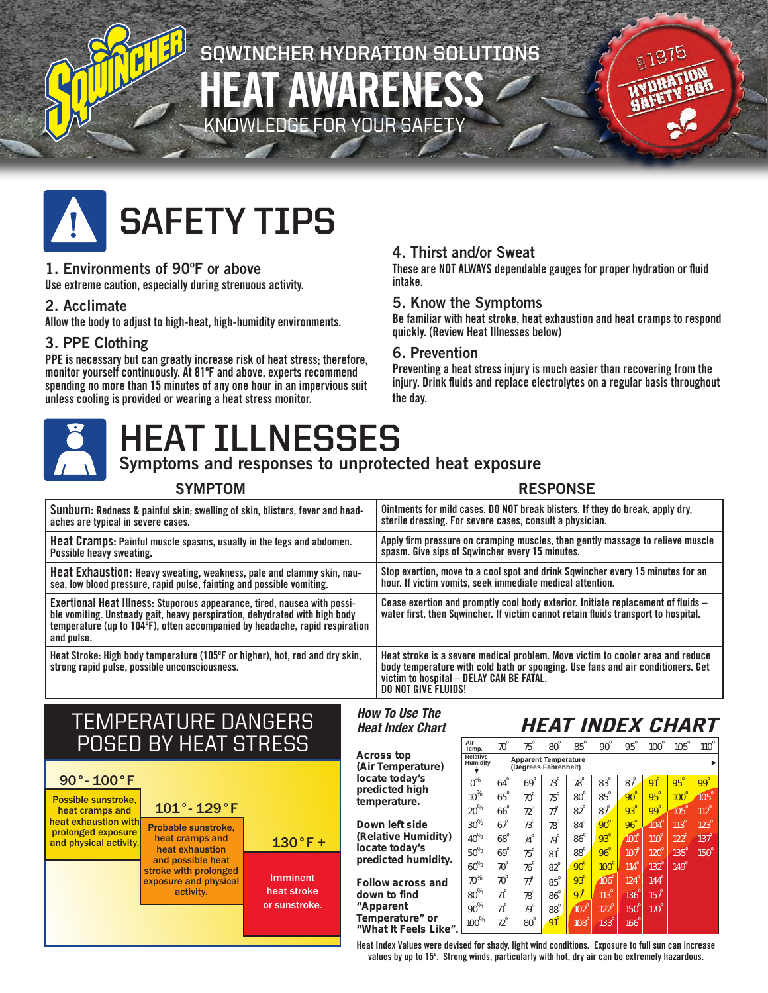# **SQWINCHER HYDRATION SOLUTIONS** HEAT AWARENESS **GE FOR YOUR SAFETY**



### 1. Environments of 90ºF or above

Use extreme caution, especially during strenuous activity.

### 2. Acclimate

Allow the body to adjust to high-heat, high-humidity environments.

### 3. PPE Clothing

PPE is necessary but can greatly increase risk of heat stress; therefore, monitor yourself continuously. At 81ºF and above, experts recommend spending no more than 15 minutes of any one hour in an impervious suit unless cooling is provided or wearing a heat stress monitor.

## 4. Thirst and/or Sweat

These are NOT ALWAYS dependable gauges for proper hydration or fluid intake.

高197

### 5. Know the Symptoms

Be familiar with heat stroke, heat exhaustion and heat cramps to respond quickly. (Review Heat Illnesses below)

### 6. Prevention

Preventing a heat stress injury is much easier than recovering from the injury. Drink fluids and replace electrolytes on a regular basis throughout the day.



# **HEAT ILLNESSES**

## Symptoms and responses to unprotected heat exposure

### SYMPTOM RESPONSE

| Sunburn: Redness & painful skin; swelling of skin, blisters, fever and head-                                                                                                                                                                        | Ointments for mild cases. DO NOT break blisters. If they do break, apply dry,                                                                                                                                                        |
|-----------------------------------------------------------------------------------------------------------------------------------------------------------------------------------------------------------------------------------------------------|--------------------------------------------------------------------------------------------------------------------------------------------------------------------------------------------------------------------------------------|
| aches are typical in severe cases.                                                                                                                                                                                                                  | sterile dressing. For severe cases, consult a physician.                                                                                                                                                                             |
| Heat Cramps: Painful muscle spasms, usually in the legs and abdomen.                                                                                                                                                                                | Apply firm pressure on cramping muscles, then gently massage to relieve muscle                                                                                                                                                       |
| Possible heavy sweating.                                                                                                                                                                                                                            | spasm. Give sips of Sqwincher every 15 minutes.                                                                                                                                                                                      |
| Heat Exhaustion: Heavy sweating, weakness, pale and clammy skin, nau-                                                                                                                                                                               | Stop exertion, move to a cool spot and drink Sqwincher every 15 minutes for an                                                                                                                                                       |
| sea, low blood pressure, rapid pulse, fainting and possible vomiting.                                                                                                                                                                               | hour. If victim vomits, seek immediate medical attention.                                                                                                                                                                            |
| Exertional Heat Illness: Stuporous appearance, tired, nausea with possi-<br>ble vomiting. Unsteady gait, heavy perspiration, dehydrated with high body<br>temperature (up to 104°F), often accompanied by headache, rapid respiration<br>and pulse. | Cease exertion and promptly cool body exterior. Initiate replacement of fluids -<br>water first, then Sqwincher. If victim cannot retain fluids transport to hospital.                                                               |
| Heat Stroke: High body temperature (105°F or higher), hot, red and dry skin,<br>strong rapid pulse, possible unconsciousness.                                                                                                                       | Heat stroke is a severe medical problem. Move victim to cooler area and reduce<br>body temperature with cold bath or sponging. Use fans and air conditioners. Get<br>victim to hospital - DELAY CAN BE FATAL.<br>DO NOT GIVE FLUIDS! |

*How To Use The Heat Index Chart*

# TEMPERATURE DANGERS POSED BY HEAT STRESS



|                                                | Air<br>Temp.                                                                         | $70^\circ$          | $75^\circ$            | $80^\circ$          | $85^\circ$            | $90^\circ$  | $95^\circ$            | $100^\circ$ | $105^\circ$ | $110^\circ$ |
|------------------------------------------------|--------------------------------------------------------------------------------------|---------------------|-----------------------|---------------------|-----------------------|-------------|-----------------------|-------------|-------------|-------------|
| op<br>perature)<br>dav's<br>d high<br>ture.    | <b>Relative</b><br>Apparent Temperature _<br><b>Humidity</b><br>(Degrees Fahrenheit) |                     |                       |                     |                       |             |                       |             |             |             |
|                                                | $\overline{\mathbf{o}^{\%}}$                                                         | $64^\circ$          | $\overline{69}^\circ$ | $73^\circ$          | $78^\circ$            | $83^\circ$  | $\mathbf{87}^{\circ}$ | $91^\circ$  | $95^\circ$  | $99^\circ$  |
|                                                | $10\%$                                                                               | $\mathbf{65}^\circ$ | $70^\circ$            | $75^\circ$          | $\mathbf{80}^{\circ}$ | $85^\circ$  | $90^\circ$            | $95^\circ$  | $100^\circ$ | $105^\circ$ |
|                                                | $20\%$                                                                               | $66^{\circ}$        | $72^{\circ}$          | $77^\circ$          | $82^{\circ}$          | $87^\circ$  | $93^\circ$            | $99^\circ$  | 105°        | $112^\circ$ |
| ft side<br>: Humidity)<br>daγ's<br>d humidity. | $30\%$                                                                               | $67^\circ$          | $73^\circ$            | $78^\circ$          | $84^\circ$            | $90^\circ$  | $96^\circ$            | $104^\circ$ | $113^\circ$ | $123^\circ$ |
|                                                | $40\%$                                                                               | $\mathbf{68}^\circ$ | $74^\circ$            | $79^\circ$          | $86^\circ$            | $93^\circ$  | $101^\circ$           | $110^\circ$ | $122^\circ$ | $137^\circ$ |
|                                                | ${\bf 50}^{\%}$                                                                      | $69^\circ$          | $75^\circ$            | $81^\circ$          | $88^\circ$            | $96^\circ$  | $107^\circ$           | $120^\circ$ | $135^\circ$ | $150^\circ$ |
|                                                | $60\%$                                                                               | $70^\circ$          | $76^\circ$            | $82^{\circ}$        | $90^\circ$            | $100^\circ$ | $114^\circ$           | $132^\circ$ | $149^\circ$ |             |
| cross and                                      | $70\%$                                                                               | $70^\circ$          | $77^\circ$            | $85^\circ$          | $93^\circ$            | $106^\circ$ | $124^\circ$           | $144^\circ$ |             |             |
| find                                           | $\mathbf{80}^{\%}$                                                                   | $71^\circ$          | $78^\circ$            | $86^\circ$          | $97^\circ$            | $113^\circ$ | $136^\circ$           | $157^\circ$ |             |             |
| nt                                             | $\mathbf{90}^{\%}$                                                                   | $71^\circ$          | $79^\circ$            | $\mathbf{88}^\circ$ | $102^\circ$           | $122^\circ$ | $150^\circ$           | $170^\circ$ |             |             |
| ture" or<br>Feels Like".                       | 100 $\%$                                                                             | $72^{\circ}$        | $80^\circ$            | $91^\circ$          | $108^\circ$           | $133^\circ$ | $166^\circ$           |             |             |             |

*HEAT INDEX CHART*

Heat Index Values were devised for shady, light wind conditions. Exposure to full sun can increase values by up to 15º. Strong winds, particularly with hot, dry air can be extremely hazardous.